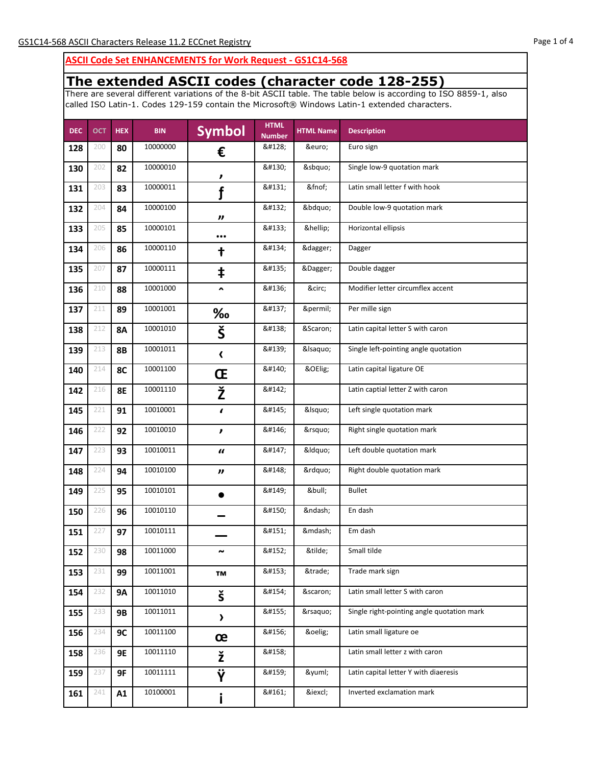## **ASCII Code Set ENHANCEMENTS for Work Request - GS1C14-568**

## **The extended ASCII codes (character code 128-255)**

There are several different variations of the 8-bit ASCII table. The table below is according to ISO 8859-1, also called ISO Latin-1. Codes 129-159 contain the Microsoft® Windows Latin-1 extended characters.

| <b>DEC</b> | <b>OCT</b> | <b>HEX</b> | <b>BIN</b> | <b>Symbol</b>         | <b>HTML</b><br><b>Number</b> | <b>HTML Name</b> | <b>Description</b>                         |
|------------|------------|------------|------------|-----------------------|------------------------------|------------------|--------------------------------------------|
| 128        | 200        | 80         | 10000000   | €                     | €                            | €                | Euro sign                                  |
| 130        | 202        | 82         | 10000010   | ,                     | '                            | '                | Single low-9 quotation mark                |
| 131        | 203        | 83         | 10000011   | f                     | ƒ                            | ƒ                | Latin small letter f with hook             |
| 132        | 204        | 84         | 10000100   | $\boldsymbol{\eta}$   | "                            | "                | Double low-9 quotation mark                |
| 133        | 205        | 85         | 10000101   |                       | …                            | …                | Horizontal ellipsis                        |
| 134        | 206        | 86         | 10000110   | t                     | †                            | †                | Dagger                                     |
| 135        | 207        | 87         | 10000111   | ŧ                     | ‡                            | ‡                | Double dagger                              |
| 136        | 210        | 88         | 10001000   | $\hat{\phantom{a}}$   | ˆ                            | ˆ                | Modifier letter circumflex accent          |
| 137        | 211        | 89         | 10001001   | ‰                     | ‰                            | ‰                | Per mille sign                             |
| 138        | 212        | <b>8A</b>  | 10001010   | Š                     | Š                            | Š                | Latin capital letter S with caron          |
| 139        | 213        | <b>8B</b>  | 10001011   | $\blacktriangleleft$  | ‹                            | &Isaquo          | Single left-pointing angle quotation       |
| 140        | 214        | 8C         | 10001100   | Œ                     | Œ                            | Œ                | Latin capital ligature OE                  |
| 142        | 216        | <b>8E</b>  | 10001110   | Ž                     | Ž                            |                  | Latin captial letter Z with caron          |
| 145        | 221        | 91         | 10010001   | $\epsilon$            | '                            | &Isquo           | Left single quotation mark                 |
| 146        | 222        | 92         | 10010010   | ,                     | '                            | '                | Right single quotation mark                |
| 147        | 223        | 93         | 10010011   | $\boldsymbol{u}$      | "                            | &Idquo           | Left double quotation mark                 |
| 148        | 224        | 94         | 10010100   | "                     | "                            | "                | Right double quotation mark                |
| 149        | 225        | 95         | 10010101   |                       | •                            | •                | <b>Bullet</b>                              |
| 150        | 226        | 96         | 10010110   |                       | –                            | –                | En dash                                    |
| 151        | 227        | 97         | 10010111   |                       | —                            | —                | Em dash                                    |
| 152        | 230        | 98         | 10011000   |                       | ˜                            | ˜                | Small tilde                                |
| 153        | 231        | 99         | 10011001   | TM                    | ™                            | ™                | Trade mark sign                            |
| 154        | 232        | <b>9A</b>  | 10011010   | š                     | š                            | š                | Latin small letter S with caron            |
| 155        | 233        | <b>9B</b>  | 10011011   | $\blacktriangleright$ | ›                            | ›                | Single right-pointing angle quotation mark |
| 156        | 234        | 9C         | 10011100   | œ                     | œ                            | œ                | Latin small ligature oe                    |
| 158        | 236        | <b>9E</b>  | 10011110   | ž                     | ž                            |                  | Latin small letter z with caron            |
| 159        | 237        | 9F         | 10011111   | Ϋ                     | Ÿ                            | ÿ                | Latin capital letter Y with diaeresis      |
| 161        | 241        | A1         | 10100001   |                       | ¡                            | ¡                | Inverted exclamation mark                  |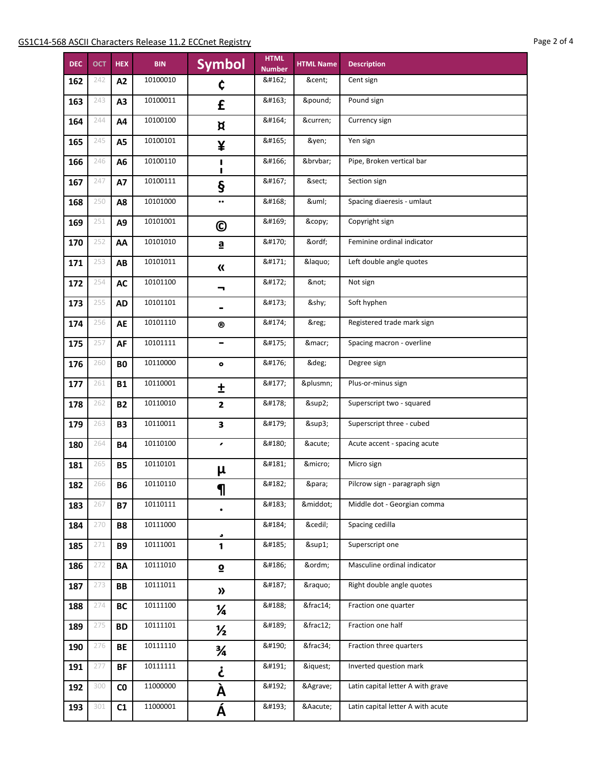**HEX** 

A2

A3

A4

A<sub>5</sub>

A6

A7

A8

A9

AA

AB

AC

**AD** 

AE

AF

**B0** 

**B1** 

 $B2$ 

**B3** 

**B4** 

**B5** 

**B6** 

**B7** 

**B8** 

**B9** 

BA

BB

BC

**BD** 

**BE** 

**BF** 

 $\mathsf{C0}$ 

 $C1$ 

10111001

10111010

10111011

10111100

10111101

10111110

10111111

11000000

11000001

¹

º

»

¼

½

¾

¿

À

Á

 $\mathbf{1}$ 

 $\mathbf{\Omega}$ 

 $\boldsymbol{\lambda}$ 

¼

 $\frac{1}{2}$ 

 $\frac{3}{4}$ 

j

À

Á

¹

º

»

¼

½

¾

¿

À

Á

Superscript one

Masculine ordinal indicator

Right double angle quotes

Fraction one quarter

Fraction three quarters

Inverted question mark

Latin capital letter A with grave

Latin capital letter A with acute

Fraction one half

**DEC** 

162

163

164

165

166

167

168

169

170

171

172

173

174

175

176

177

178

179

180

181

182

183

184

185

186

187

188

189

190

191

192

193

**OCT** 

242

243

244

245

246

247

250

251

252

253

254

255

256

257

260

261

262

263

264

265

266

267

270

271

272

273

274

275

276

277

300

301

|            | <u>elease II.2 ECChet Registry</u> |                              |                  |                               | rage z |
|------------|------------------------------------|------------------------------|------------------|-------------------------------|--------|
| <b>BIN</b> | <b>Symbol</b>                      | <b>HTML</b><br><b>Number</b> | <b>HTML Name</b> | <b>Description</b>            |        |
| 10100010   | ¢                                  | ¢                            | ¢                | Cent sign                     |        |
| 10100011   | £                                  | £                            | £                | Pound sign                    |        |
| 10100100   | ¤                                  | ¤                            | ¤                | Currency sign                 |        |
| 10100101   | ¥                                  | ¥                            | ¥                | Yen sign                      |        |
| 10100110   | ı<br>ı                             | ¦                            | ¦                | Pipe, Broken vertical bar     |        |
| 10100111   | ş                                  | §                            | §                | Section sign                  |        |
| 10101000   | $\bullet$                          | ¨                            | ¨                | Spacing diaeresis - umlaut    |        |
| 10101001   | $\mathbf{\copyright}$              | ©                            | ©                | Copyright sign                |        |
| 10101010   | ₫                                  | ª                            | ª                | Feminine ordinal indicator    |        |
| 10101011   | $\boldsymbol{\kappa}$              | «                            | «                | Left double angle quotes      |        |
| 10101100   | ┓                                  | ¬                            | ¬                | Not sign                      |        |
| 10101101   |                                    | ­                            | ­                | Soft hyphen                   |        |
| 10101110   | ®                                  | ®                            | ®                | Registered trade mark sign    |        |
| 10101111   |                                    | ¯                            | ¯                | Spacing macron - overline     |        |
| 10110000   | $\bullet$                          | °                            | °                | Degree sign                   |        |
| 10110001   | Ŧ                                  | ±                            | ±                | Plus-or-minus sign            |        |
| 10110010   | $\overline{2}$                     | ²                            | ²                | Superscript two - squared     |        |
| 10110011   | 3                                  | ³                            | ³                | Superscript three - cubed     |        |
| 10110100   | ,                                  | ´                            | ´                | Acute accent - spacing acute  |        |
| 10110101   | μ                                  | µ                            | µ                | Micro sign                    |        |
| 10110110   | 1                                  | ¶                            | ¶                | Pilcrow sign - paragraph sign |        |
| 10110111   |                                    | ·                            | ·                | Middle dot - Georgian comma   |        |
| 10111000   |                                    | ¸                            | ¸                | Spacing cedilla               |        |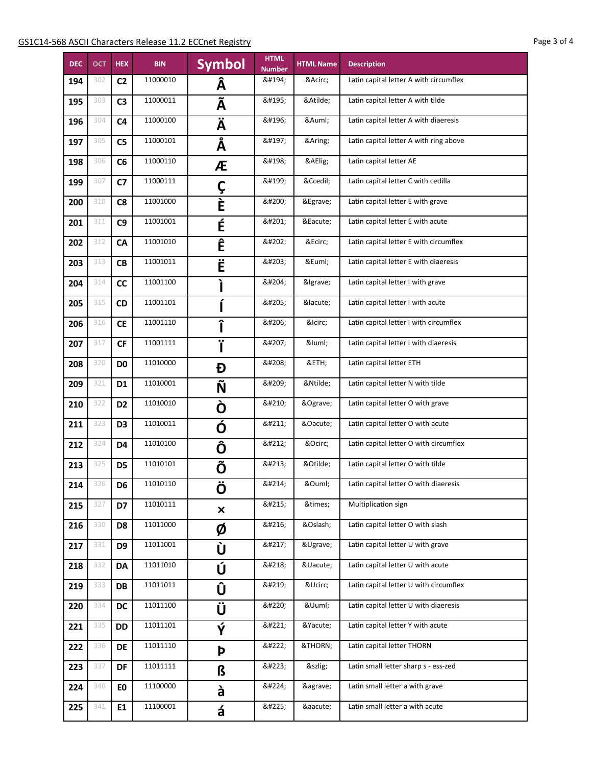| <b>DEC</b> | <b>OCT</b> | <b>HEX</b>     | <b>BIN</b> | <b>Symbol</b>             | <b>HTML</b><br><b>Number</b> | <b>HTML Name</b> | <b>Description</b>                     |
|------------|------------|----------------|------------|---------------------------|------------------------------|------------------|----------------------------------------|
| 194        | 302        | C <sub>2</sub> | 11000010   | Â                         | Â                            | Â                | Latin capital letter A with circumflex |
| 195        | 303        | C <sub>3</sub> | 11000011   | Ã                         | Ã                            | Ã                | Latin capital letter A with tilde      |
| 196        | 304        | C <sub>4</sub> | 11000100   | Ä                         | Ä                            | Ä                | Latin capital letter A with diaeresis  |
| 197        | 305        | C <sub>5</sub> | 11000101   | Å                         | Å                            | Å                | Latin capital letter A with ring above |
| 198        | 306        | C6             | 11000110   | Æ                         | Æ                            | Æ                | Latin capital letter AE                |
| 199        | 307        | C <sub>7</sub> | 11000111   | Ç                         | Ç                            | Ç                | Latin capital letter C with cedilla    |
| 200        | 310        | C8             | 11001000   | È                         | È                            | È                | Latin capital letter E with grave      |
| 201        | 311        | C <sub>9</sub> | 11001001   | É                         | É                            | É                | Latin capital letter E with acute      |
| 202        | 312        | <b>CA</b>      | 11001010   | Ê                         | Ê                            | Ê                | Latin capital letter E with circumflex |
| 203        | 313        | <b>CB</b>      | 11001011   | Ë                         | Ë                            | Ë                | Latin capital letter E with diaeresis  |
| 204        | 314        | cc             | 11001100   |                           | Ì                            | Ì                | Latin capital letter I with grave      |
| 205        | 315        | <b>CD</b>      | 11001101   |                           | Í                            | ĺ                | Latin capital letter I with acute      |
| 206        | 316        | <b>CE</b>      | 11001110   | ↑                         | Î                            | Î                | Latin capital letter I with circumflex |
| 207        | 317        | <b>CF</b>      | 11001111   | ÷                         | Ï                            | &luml            | Latin capital letter I with diaeresis  |
| 208        | 320        | D <sub>0</sub> | 11010000   | Đ                         | Ð                            | Ð                | Latin capital letter ETH               |
| 209        | 321        | D <sub>1</sub> | 11010001   | Ñ                         | Ñ                            | Ñ                | Latin capital letter N with tilde      |
| 210        | 322        | D <sub>2</sub> | 11010010   | Ò                         | Ò                            | Ò                | Latin capital letter O with grave      |
| 211        | 323        | D <sub>3</sub> | 11010011   | Ó                         | Ó                            | Ó                | Latin capital letter O with acute      |
| 212        | 324        | D <sub>4</sub> | 11010100   | Ô                         | Ô                            | Ô                | Latin capital letter O with circumflex |
| 213        | 325        | D <sub>5</sub> | 11010101   | Õ                         | Õ                            | Õ                | Latin capital letter O with tilde      |
| 214        | 326        | D6             | 11010110   | Ö                         | Ö                            | Ö                | Latin capital letter O with diaeresis  |
| 215        | 327        | D7             | 11010111   | $\boldsymbol{\mathsf{x}}$ | ×                            | ×                | Multiplication sign                    |
| 216        | 330        | D8             | 11011000   | Ø                         | Ø                            | Ø                | Latin capital letter O with slash      |
| 217        | 331        | D <sub>9</sub> | 11011001   | Ù                         | Ù                            | Ù                | Latin capital letter U with grave      |
| 218        | 332        | DA             | 11011010   | Ú                         | Ú                            | Ú                | Latin capital letter U with acute      |
| 219        | 333        | <b>DB</b>      | 11011011   | Û                         | Û                            | Û                | Latin capital letter U with circumflex |
| 220        | 334        | <b>DC</b>      | 11011100   | Ü                         | Ü                            | Ü                | Latin capital letter U with diaeresis  |
| 221        | 335        | <b>DD</b>      | 11011101   | Ý                         | Ý                            | Ý                | Latin capital letter Y with acute      |
| 222        | 336        | <b>DE</b>      | 11011110   | Þ                         | Þ                            | Þ                | Latin capital letter THORN             |
| 223        | 337        | <b>DF</b>      | 11011111   | ß                         | ß                            | ß                | Latin small letter sharp s - ess-zed   |
| 224        | 340        | EO             | 11100000   | à                         | à                            | à                | Latin small letter a with grave        |
| 225        | 341        | E1             | 11100001   | á                         | á                            | á                | Latin small letter a with acute        |